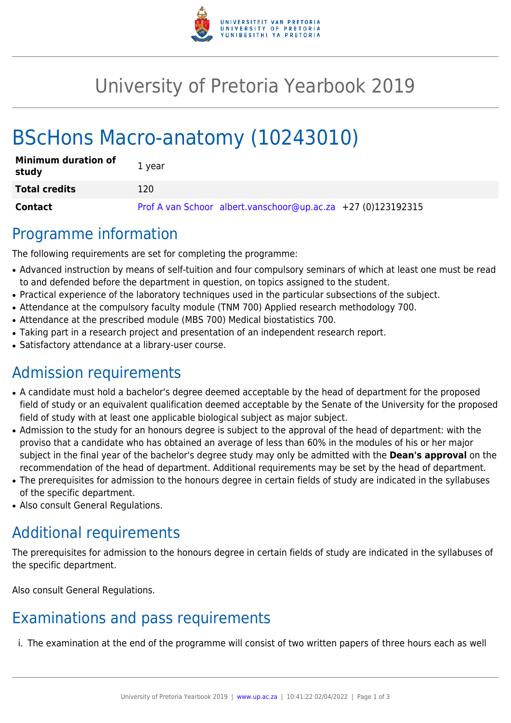

# University of Pretoria Yearbook 2019

# BScHons Macro-anatomy (10243010)

| <b>Minimum duration of</b><br>study | 1 year                                                       |
|-------------------------------------|--------------------------------------------------------------|
| <b>Total credits</b>                | 120                                                          |
| <b>Contact</b>                      | Prof A van Schoor albert.vanschoor@up.ac.za +27 (0)123192315 |

#### Programme information

The following requirements are set for completing the programme:

- Advanced instruction by means of self-tuition and four compulsory seminars of which at least one must be read to and defended before the department in question, on topics assigned to the student.
- Practical experience of the laboratory techniques used in the particular subsections of the subject.
- Attendance at the compulsory faculty module (TNM 700) Applied research methodology 700.
- Attendance at the prescribed module (MBS 700) Medical biostatistics 700.
- Taking part in a research project and presentation of an independent research report.
- Satisfactory attendance at a library-user course.

## Admission requirements

- A candidate must hold a bachelor's degree deemed acceptable by the head of department for the proposed field of study or an equivalent qualification deemed acceptable by the Senate of the University for the proposed field of study with at least one applicable biological subject as major subject.
- Admission to the study for an honours degree is subject to the approval of the head of department: with the proviso that a candidate who has obtained an average of less than 60% in the modules of his or her major subject in the final year of the bachelor's degree study may only be admitted with the **Dean's approval** on the recommendation of the head of department. Additional requirements may be set by the head of department.
- The prerequisites for admission to the honours degree in certain fields of study are indicated in the syllabuses of the specific department.
- Also consult General Regulations.

## Additional requirements

The prerequisites for admission to the honours degree in certain fields of study are indicated in the syllabuses of the specific department.

Also consult General Regulations.

## Examinations and pass requirements

i. The examination at the end of the programme will consist of two written papers of three hours each as well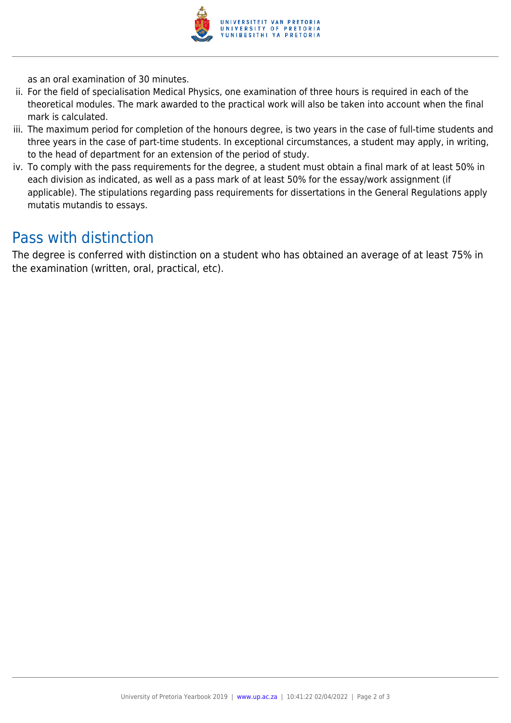

as an oral examination of 30 minutes.

- ii. For the field of specialisation Medical Physics, one examination of three hours is required in each of the theoretical modules. The mark awarded to the practical work will also be taken into account when the final mark is calculated.
- iii. The maximum period for completion of the honours degree, is two years in the case of full-time students and three years in the case of part-time students. In exceptional circumstances, a student may apply, in writing, to the head of department for an extension of the period of study.
- iv. To comply with the pass requirements for the degree, a student must obtain a final mark of at least 50% in each division as indicated, as well as a pass mark of at least 50% for the essay/work assignment (if applicable). The stipulations regarding pass requirements for dissertations in the General Regulations apply mutatis mutandis to essays.

#### Pass with distinction

The degree is conferred with distinction on a student who has obtained an average of at least 75% in the examination (written, oral, practical, etc).